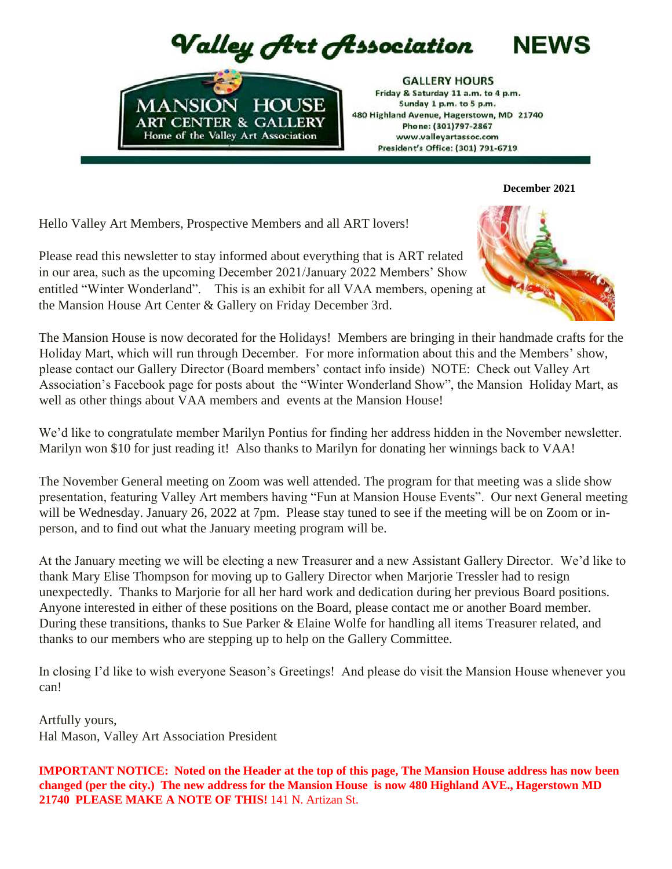Valley Art Association



**GALLERY HOURS** Friday & Saturday 11 a.m. to 4 p.m. Sunday 1 p.m. to 5 p.m. 480 Highland Avenue, Hagerstown, MD 21740 Phone: (301)797-2867 www.valleyartassoc.com President's Office: (301) 791-6719

 **December 2021**

**NEWS** 

Hello Valley Art Members, Prospective Members and all ART lovers!

Please read this newsletter to stay informed about everything that is ART related in our area, such as the upcoming December 2021/January 2022 Members' Show entitled "Winter Wonderland". This is an exhibit for all VAA members, opening at the Mansion House Art Center & Gallery on Friday December 3rd.



The Mansion House is now decorated for the Holidays! Members are bringing in their handmade crafts for the Holiday Mart, which will run through December. For more information about this and the Members' show, please contact our Gallery Director (Board members' contact info inside) NOTE: Check out Valley Art Association's Facebook page for posts about the "Winter Wonderland Show", the Mansion Holiday Mart, as well as other things about VAA members and events at the Mansion House!

We'd like to congratulate member Marilyn Pontius for finding her address hidden in the November newsletter. Marilyn won \$10 for just reading it! Also thanks to Marilyn for donating her winnings back to VAA!

The November General meeting on Zoom was well attended. The program for that meeting was a slide show presentation, featuring Valley Art members having "Fun at Mansion House Events". Our next General meeting will be Wednesday. January 26, 2022 at 7pm. Please stay tuned to see if the meeting will be on Zoom or inperson, and to find out what the January meeting program will be.

At the January meeting we will be electing a new Treasurer and a new Assistant Gallery Director. We'd like to thank Mary Elise Thompson for moving up to Gallery Director when Marjorie Tressler had to resign unexpectedly. Thanks to Marjorie for all her hard work and dedication during her previous Board positions. Anyone interested in either of these positions on the Board, please contact me or another Board member. During these transitions, thanks to Sue Parker & Elaine Wolfe for handling all items Treasurer related, and thanks to our members who are stepping up to help on the Gallery Committee.

In closing I'd like to wish everyone Season's Greetings! And please do visit the Mansion House whenever you can!

Artfully yours, Hal Mason, Valley Art Association President

**IMPORTANT NOTICE: Noted on the Header at the top of this page, The Mansion House address has now been changed (per the city.) The new address for the Mansion House is now 480 Highland AVE., Hagerstown MD 21740 PLEASE MAKE A NOTE OF THIS!** 141 N. Artizan St.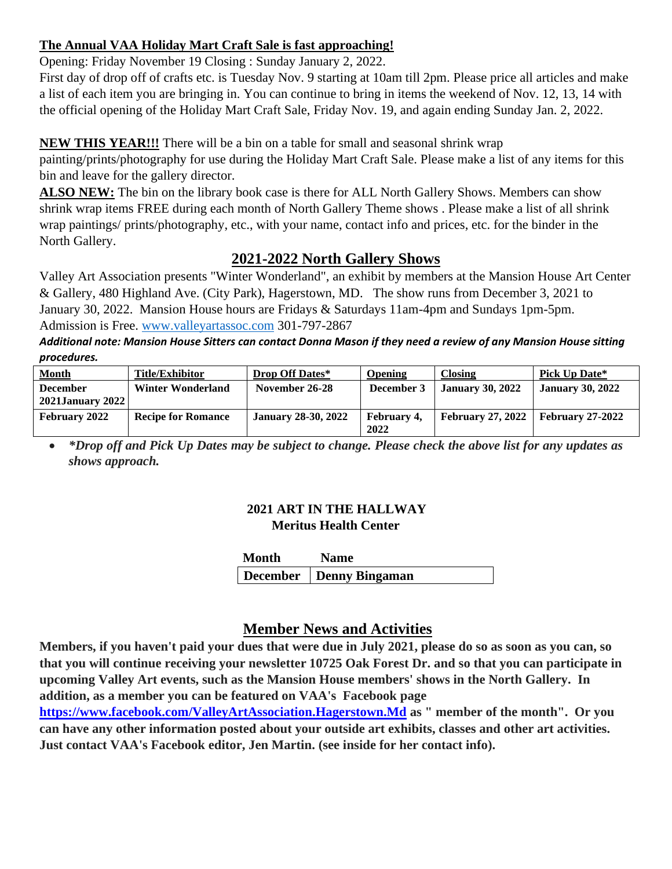## **The Annual VAA Holiday Mart Craft Sale is fast approaching!**

Opening: Friday November 19 Closing : Sunday January 2, 2022.

First day of drop off of crafts etc. is Tuesday Nov. 9 starting at 10am till 2pm. Please price all articles and make a list of each item you are bringing in. You can continue to bring in items the weekend of Nov. 12, 13, 14 with the official opening of the Holiday Mart Craft Sale, Friday Nov. 19, and again ending Sunday Jan. 2, 2022.

## **NEW THIS YEAR!!!** There will be a bin on a table for small and seasonal shrink wrap

painting/prints/photography for use during the Holiday Mart Craft Sale. Please make a list of any items for this bin and leave for the gallery director.

**ALSO NEW:** The bin on the library book case is there for ALL North Gallery Shows. Members can show shrink wrap items FREE during each month of North Gallery Theme shows . Please make a list of all shrink wrap paintings/ prints/photography, etc., with your name, contact info and prices, etc. for the binder in the North Gallery.

# **2021-2022 North Gallery Shows**

Valley Art Association presents "Winter Wonderland", an exhibit by members at the Mansion House Art Center & Gallery, 480 Highland Ave. (City Park), Hagerstown, MD. The show runs from December 3, 2021 to January 30, 2022. Mansion House hours are Fridays & Saturdays 11am-4pm and Sundays 1pm-5pm. Admission is Free. [www.valleyartassoc.com](http://www.valleyartassoc.com/) 301-797-2867

*Additional note: Mansion House Sitters can contact Donna Mason if they need a review of any Mansion House sitting procedures.*

| <b>Month</b>                               | Title/Exhibitor           | <b>Drop Off Dates*</b>     | Opening                    | Closing                  | <b>Pick Up Date*</b>    |
|--------------------------------------------|---------------------------|----------------------------|----------------------------|--------------------------|-------------------------|
| <b>December</b><br><b>2021January 2022</b> | <b>Winter Wonderland</b>  | November 26-28             | December 3                 | <b>January 30, 2022</b>  | <b>January 30, 2022</b> |
| February 2022                              | <b>Recipe for Romance</b> | <b>January 28-30, 2022</b> | <b>February 4.</b><br>2022 | <b>February 27, 2022</b> | <b>February 27-2022</b> |

• *\*Drop off and Pick Up Dates may be subject to change. Please check the above list for any updates as shows approach.*

#### **2021 ART IN THE HALLWAY Meritus Health Center**

| <b>Month</b> | <b>Name</b>               |
|--------------|---------------------------|
|              | December   Denny Bingaman |

# **Member News and Activities**

**Members, if you haven't paid your dues that were due in July 2021, please do so as soon as you can, so that you will continue receiving your newsletter 10725 Oak Forest Dr. and so that you can participate in upcoming Valley Art events, such as the Mansion House members' shows in the North Gallery. In addition, as a member you can be featured on VAA's Facebook page**

**https://www.facebook.com/ValleyArtAssociation.Hagerstown.Md as " member of the month". Or you can have any other information posted about your outside art exhibits, classes and other art activities. Just contact VAA's Facebook editor, Jen Martin. (see inside for her contact info).**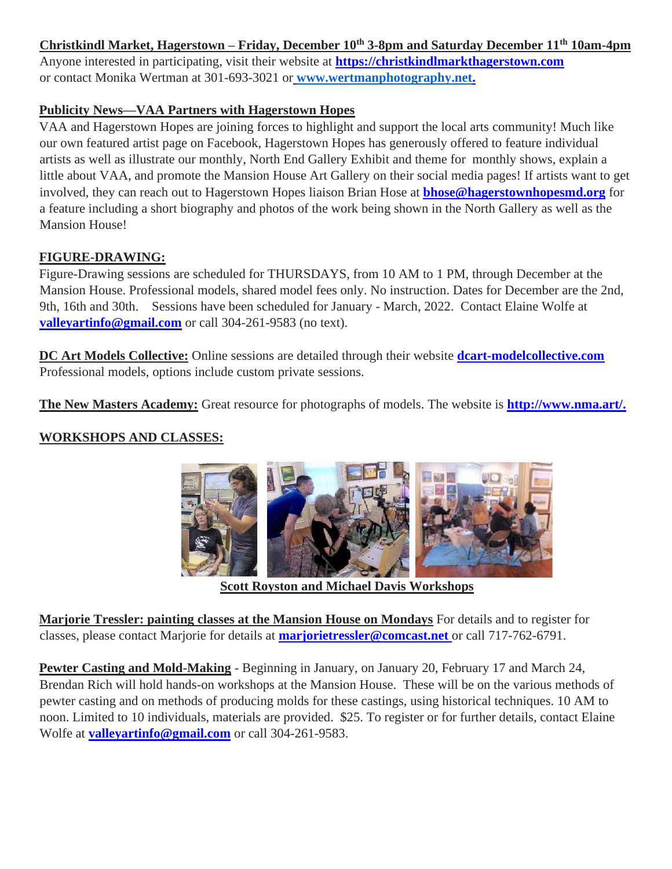## **Christkindl Market, Hagerstown – Friday, December 10th 3-8pm and Saturday December 11th 10am-4pm**

Anyone interested in participating, visit their website at **https://christkindlmarkthagerstown.com** or contact Monika Wertman at 301-693-3021 or **[www.wertmanphotography.net.](http://www.wertmanphotography.net/)**

### **Publicity News—VAA Partners with Hagerstown Hopes**

VAA and Hagerstown Hopes are joining forces to highlight and support the local arts community! Much like our own featured artist page on Facebook, Hagerstown Hopes has generously offered to feature individual artists as well as illustrate our monthly, North End Gallery Exhibit and theme for monthly shows, explain a little about VAA, and promote the Mansion House Art Gallery on their social media pages! If artists want to get involved, they can reach out to Hagerstown Hopes liaison Brian Hose at **bhose@hagerstownhopesmd.org** for a feature including a short biography and photos of the work being shown in the North Gallery as well as the Mansion House!

## **FIGURE-DRAWING:**

Figure-Drawing sessions are scheduled for THURSDAYS, from 10 AM to 1 PM, through December at the Mansion House. Professional models, shared model fees only. No instruction. Dates for December are the 2nd, 9th, 16th and 30th. Sessions have been scheduled for January - March, 2022. Contact Elaine Wolfe at **valleyartinfo@gmail.com** or call 304-261-9583 (no text).

**DC Art Models Collective:** Online sessions are detailed through their website **dcart-modelcollective.com** Professional models, options include custom private sessions.

**The New Masters Academy:** Great resource for photographs of models. The website is **http://www.nma.art/.**

## **WORKSHOPS AND CLASSES:**



 **Scott Royston and Michael Davis Workshops**

**Marjorie Tressler: painting classes at the Mansion House on Mondays** For details and to register for classes, please contact Marjorie for details at **marjorietressler@comcast.net** or call 717-762-6791.

**Pewter Casting and Mold-Making** - Beginning in January, on January 20, February 17 and March 24, Brendan Rich will hold hands-on workshops at the Mansion House. These will be on the various methods of pewter casting and on methods of producing molds for these castings, using historical techniques. 10 AM to noon. Limited to 10 individuals, materials are provided. \$25. To register or for further details, contact Elaine Wolfe at **valleyartinfo@gmail.com** or call 304-261-9583.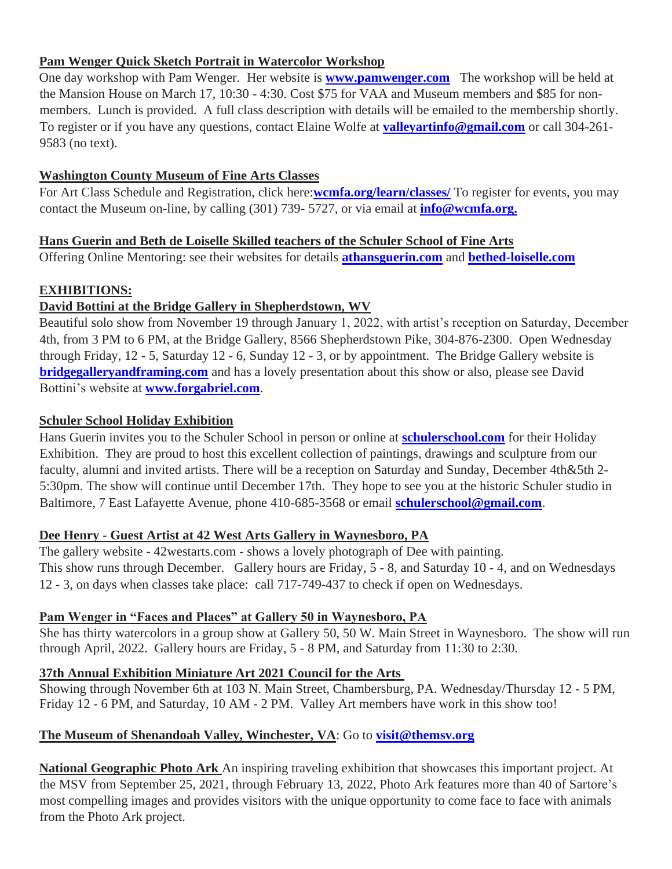## **Pam Wenger Quick Sketch Portrait in Watercolor Workshop**

One day workshop with Pam Wenger. Her website is **www.pamwenger.com** The workshop will be held at the Mansion House on March 17, 10:30 - 4:30. Cost \$75 for VAA and Museum members and \$85 for nonmembers. Lunch is provided. A full class description with details will be emailed to the membership shortly. To register or if you have any questions, contact Elaine Wolfe at **valleyartinfo@gmail.com** or call 304-261- 9583 (no text).

#### **Washington County Museum of Fine Arts Classes**

For Art Class Schedule and Registration, click here:**wcmfa.org/learn/classes/** To register for events, you may contact the Museum on-line, by calling (301) 739- 5727, or via email at **info@wcmfa.org.**

#### **Hans Guerin and Beth de Loiselle Skilled teachers of the Schuler School of Fine Arts**

Offering Online Mentoring: see their websites for details **athansguerin.com** and **bethed-loiselle.com** 

## **EXHIBITIONS:**

## **David Bottini at the Bridge Gallery in Shepherdstown, WV**

Beautiful solo show from November 19 through January 1, 2022, with artist's reception on Saturday, December 4th, from 3 PM to 6 PM, at the Bridge Gallery, 8566 Shepherdstown Pike, 304-876-2300. Open Wednesday through Friday, 12 - 5, Saturday 12 - 6, Sunday 12 - 3, or by appointment. The Bridge Gallery website is **bridgegalleryandframing.com** and has a lovely presentation about this show or also, please see David Bottini's website at **www.forgabriel.com**.

#### **Schuler School Holiday Exhibition**

Hans Guerin invites you to the Schuler School in person or online at **schulerschool.com** for their Holiday Exhibition. They are proud to host this excellent collection of paintings, drawings and sculpture from our faculty, alumni and invited artists. There will be a reception on Saturday and Sunday, December 4th&5th 2-5:30pm. The show will continue until December 17th. They hope to see you at the historic Schuler studio in Baltimore, 7 East Lafayette Avenue, phone 410-685-3568 or email **schulerschool@gmail.com**.

#### **Dee Henry - Guest Artist at 42 West Arts Gallery in Waynesboro, PA**

The gallery website - 42westarts.com - shows a lovely photograph of Dee with painting. This show runs through December. Gallery hours are Friday, 5 - 8, and Saturday 10 - 4, and on Wednesdays 12 - 3, on days when classes take place: call 717-749-437 to check if open on Wednesdays.

## **Pam Wenger in "Faces and Places" at Gallery 50 in Waynesboro, PA**

She has thirty watercolors in a group show at Gallery 50, 50 W. Main Street in Waynesboro. The show will run through April, 2022. Gallery hours are Friday, 5 - 8 PM, and Saturday from 11:30 to 2:30.

## **37th Annual Exhibition Miniature Art 2021 Council for the Arts**

Showing through November 6th at 103 N. Main Street, Chambersburg, PA. Wednesday/Thursday 12 - 5 PM, Friday 12 - 6 PM, and Saturday, 10 AM - 2 PM. Valley Art members have work in this show too!

## **The Museum of Shenandoah Valley, Winchester, VA**: Go to **visit@themsv.org**

**National Geographic Photo Ark** An inspiring traveling exhibition that showcases this important project. At the MSV from September 25, 2021, through February 13, 2022, Photo Ark features more than 40 of Sartore's most compelling images and provides visitors with the unique opportunity to come face to face with animals from the Photo Ark project.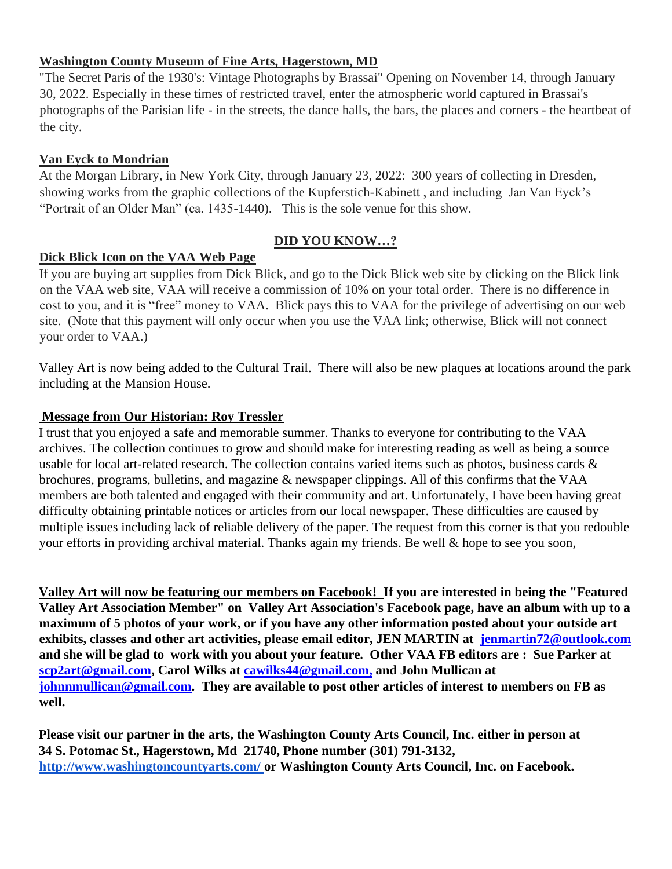#### **Washington County Museum of Fine Arts, Hagerstown, MD**

"The Secret Paris of the 1930's: Vintage Photographs by Brassai" Opening on November 14, through January 30, 2022. Especially in these times of restricted travel, enter the atmospheric world captured in Brassai's photographs of the Parisian life - in the streets, the dance halls, the bars, the places and corners - the heartbeat of the city.

#### **Van Eyck to Mondrian**

At the Morgan Library, in New York City, through January 23, 2022: 300 years of collecting in Dresden, showing works from the graphic collections of the Kupferstich-Kabinett , and including Jan Van Eyck's "Portrait of an Older Man" (ca. 1435-1440). This is the sole venue for this show.

## **Dick Blick Icon on the VAA Web Page**

#### **DID YOU KNOW…?**

If you are buying art supplies from Dick Blick, and go to the Dick Blick web site by clicking on the Blick link on the VAA web site, VAA will receive a commission of 10% on your total order. There is no difference in cost to you, and it is "free" money to VAA. Blick pays this to VAA for the privilege of advertising on our web site. (Note that this payment will only occur when you use the VAA link; otherwise, Blick will not connect your order to VAA.)

Valley Art is now being added to the Cultural Trail. There will also be new plaques at locations around the park including at the Mansion House.

#### **Message from Our Historian: Roy Tressler**

I trust that you enjoyed a safe and memorable summer. Thanks to everyone for contributing to the VAA archives. The collection continues to grow and should make for interesting reading as well as being a source usable for local art-related research. The collection contains varied items such as photos, business cards & brochures, programs, bulletins, and magazine & newspaper clippings. All of this confirms that the VAA members are both talented and engaged with their community and art. Unfortunately, I have been having great difficulty obtaining printable notices or articles from our local newspaper. These difficulties are caused by multiple issues including lack of reliable delivery of the paper. The request from this corner is that you redouble your efforts in providing archival material. Thanks again my friends. Be well & hope to see you soon,

**Valley Art will now be featuring our members on Facebook! If you are interested in being the "Featured Valley Art Association Member" on Valley Art Association's Facebook page, have an album with up to a maximum of 5 photos of your work, or if you have any other information posted about your outside art exhibits, classes and other art activities, please email editor, JEN MARTIN at jenmartin72@outlook.com and she will be glad to work with you about your feature. Other VAA FB editors are : Sue Parker at scp2art@gmail.com, Carol Wilks at cawilks44@gmail.com, and John Mullican at johnnmullican@gmail.com. They are available to post other articles of interest to members on FB as well.** 

**Please visit our partner in the arts, the Washington County Arts Council, Inc. either in person at 34 S. Potomac St., Hagerstown, Md 21740, Phone number (301) 791-3132, <http://www.washingtoncountyarts.com/> [o](http://www.washingtoncountyarts.com/)r Washington County Arts Council, Inc. on Facebook.**